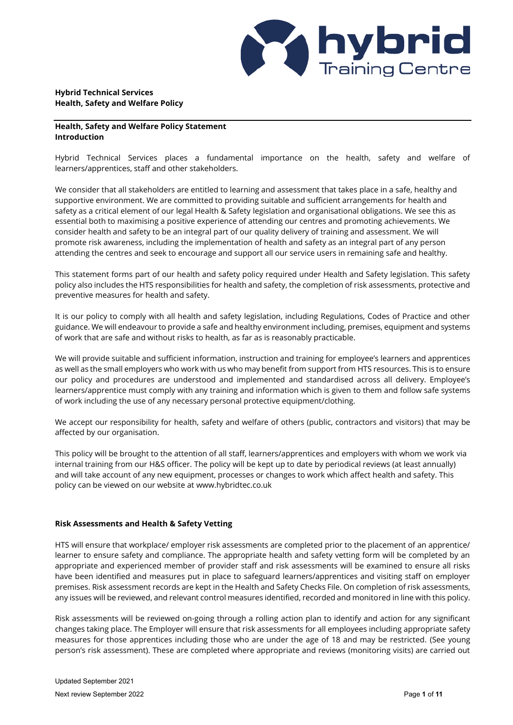

# **Hybrid Technical Services Health, Safety and Welfare Policy**

# **Health, Safety and Welfare Policy Statement Introduction**

Hybrid Technical Services places a fundamental importance on the health, safety and welfare of learners/apprentices, staff and other stakeholders.

We consider that all stakeholders are entitled to learning and assessment that takes place in a safe, healthy and supportive environment. We are committed to providing suitable and sufficient arrangements for health and safety as a critical element of our legal Health & Safety legislation and organisational obligations. We see this as essential both to maximising a positive experience of attending our centres and promoting achievements. We consider health and safety to be an integral part of our quality delivery of training and assessment. We will promote risk awareness, including the implementation of health and safety as an integral part of any person attending the centres and seek to encourage and support all our service users in remaining safe and healthy.

This statement forms part of our health and safety policy required under Health and Safety legislation. This safety policy also includes the HTS responsibilities for health and safety, the completion of risk assessments, protective and preventive measures for health and safety.

It is our policy to comply with all health and safety legislation, including Regulations, Codes of Practice and other guidance. We will endeavour to provide a safe and healthy environment including, premises, equipment and systems of work that are safe and without risks to health, as far as is reasonably practicable.

We will provide suitable and sufficient information, instruction and training for employee's learners and apprentices as well as the small employers who work with us who may benefit from support from HTS resources. This is to ensure our policy and procedures are understood and implemented and standardised across all delivery. Employee's learners/apprentice must comply with any training and information which is given to them and follow safe systems of work including the use of any necessary personal protective equipment/clothing.

We accept our responsibility for health, safety and welfare of others (public, contractors and visitors) that may be affected by our organisation.

This policy will be brought to the attention of all staff, learners/apprentices and employers with whom we work via internal training from our H&S officer. The policy will be kept up to date by periodical reviews (at least annually) and will take account of any new equipment, processes or changes to work which affect health and safety. This policy can be viewed on our website at www.hybridtec.co.uk

# **Risk Assessments and Health & Safety Vetting**

HTS will ensure that workplace/ employer risk assessments are completed prior to the placement of an apprentice/ learner to ensure safety and compliance. The appropriate health and safety vetting form will be completed by an appropriate and experienced member of provider staff and risk assessments will be examined to ensure all risks have been identified and measures put in place to safeguard learners/apprentices and visiting staff on employer premises. Risk assessment records are kept in the Health and Safety Checks File. On completion of risk assessments, any issues will be reviewed, and relevant control measures identified, recorded and monitored in line with this policy.

Risk assessments will be reviewed on-going through a rolling action plan to identify and action for any significant changes taking place. The Employer will ensure that risk assessments for all employees including appropriate safety measures for those apprentices including those who are under the age of 18 and may be restricted. (See young person's risk assessment). These are completed where appropriate and reviews (monitoring visits) are carried out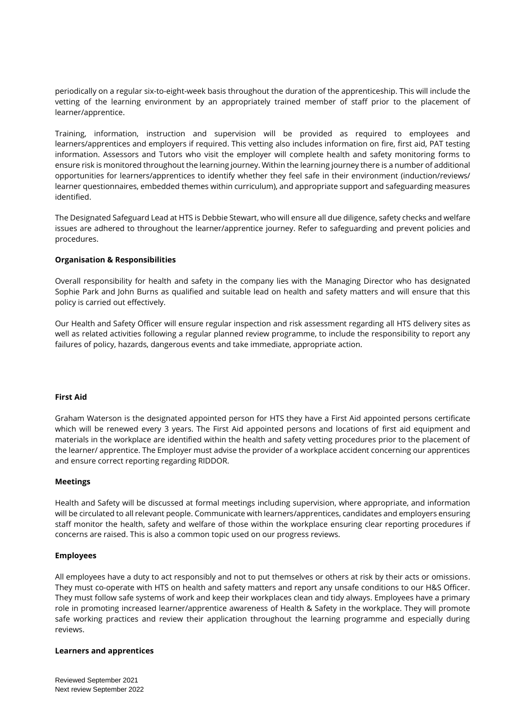periodically on a regular six-to-eight-week basis throughout the duration of the apprenticeship. This will include the vetting of the learning environment by an appropriately trained member of staff prior to the placement of learner/apprentice.

Training, information, instruction and supervision will be provided as required to employees and learners/apprentices and employers if required. This vetting also includes information on fire, first aid, PAT testing information. Assessors and Tutors who visit the employer will complete health and safety monitoring forms to ensure risk is monitored throughout the learning journey. Within the learning journey there is a number of additional opportunities for learners/apprentices to identify whether they feel safe in their environment (induction/reviews/ learner questionnaires, embedded themes within curriculum), and appropriate support and safeguarding measures identified.

The Designated Safeguard Lead at HTS is Debbie Stewart, who will ensure all due diligence, safety checks and welfare issues are adhered to throughout the learner/apprentice journey. Refer to safeguarding and prevent policies and procedures.

### **Organisation & Responsibilities**

Overall responsibility for health and safety in the company lies with the Managing Director who has designated Sophie Park and John Burns as qualified and suitable lead on health and safety matters and will ensure that this policy is carried out effectively.

Our Health and Safety Officer will ensure regular inspection and risk assessment regarding all HTS delivery sites as well as related activities following a regular planned review programme, to include the responsibility to report any failures of policy, hazards, dangerous events and take immediate, appropriate action.

### **First Aid**

Graham Waterson is the designated appointed person for HTS they have a First Aid appointed persons certificate which will be renewed every 3 years. The First Aid appointed persons and locations of first aid equipment and materials in the workplace are identified within the health and safety vetting procedures prior to the placement of the learner/ apprentice. The Employer must advise the provider of a workplace accident concerning our apprentices and ensure correct reporting regarding RIDDOR.

### **Meetings**

Health and Safety will be discussed at formal meetings including supervision, where appropriate, and information will be circulated to all relevant people. Communicate with learners/apprentices, candidates and employers ensuring staff monitor the health, safety and welfare of those within the workplace ensuring clear reporting procedures if concerns are raised. This is also a common topic used on our progress reviews.

### **Employees**

All employees have a duty to act responsibly and not to put themselves or others at risk by their acts or omissions. They must co-operate with HTS on health and safety matters and report any unsafe conditions to our H&S Officer. They must follow safe systems of work and keep their workplaces clean and tidy always. Employees have a primary role in promoting increased learner/apprentice awareness of Health & Safety in the workplace. They will promote safe working practices and review their application throughout the learning programme and especially during reviews.

### **Learners and apprentices**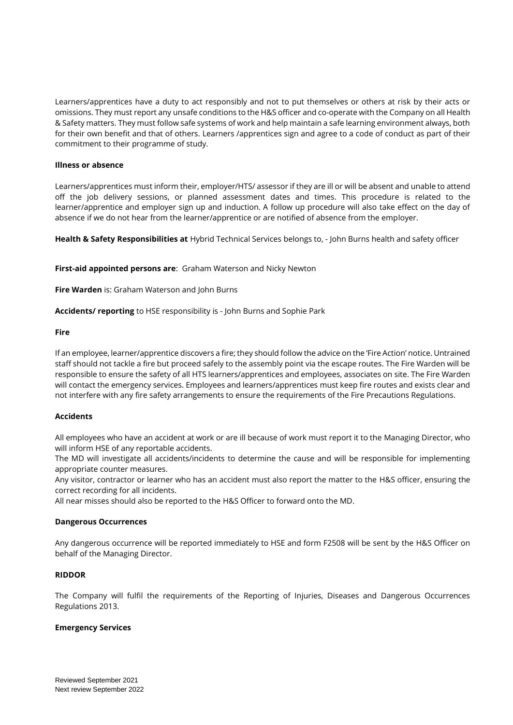Learners/apprentices have a duty to act responsibly and not to put themselves or others at risk by their acts or omissions. They must report any unsafe conditions to the H&S officer and co-operate with the Company on all Health & Safety matters. They must follow safe systems of work and help maintain a safe learning environment always, both for their own benefit and that of others. Learners /apprentices sign and agree to a code of conduct as part of their commitment to their programme of study.

## **Illness or absence**

Learners/apprentices must inform their, employer/HTS/ assessor if they are ill or will be absent and unable to attend off the job delivery sessions, or planned assessment dates and times. This procedure is related to the learner/apprentice and employer sign up and induction. A follow up procedure will also take effect on the day of absence if we do not hear from the learner/apprentice or are notified of absence from the employer.

**Health & Safety Responsibilities at** Hybrid Technical Services belongs to, - John Burns health and safety officer

**First-aid appointed persons are**: Graham Waterson and Nicky Newton

**Fire Warden** is: Graham Waterson and John Burns

**Accidents/ reporting** to HSE responsibility is - John Burns and Sophie Park

## **Fire**

If an employee, learner/apprentice discovers a fire; they should follow the advice on the 'Fire Action' notice. Untrained staff should not tackle a fire but proceed safely to the assembly point via the escape routes. The Fire Warden will be responsible to ensure the safety of all HTS learners/apprentices and employees, associates on site. The Fire Warden will contact the emergency services. Employees and learners/apprentices must keep fire routes and exists clear and not interfere with any fire safety arrangements to ensure the requirements of the Fire Precautions Regulations.

### **Accidents**

All employees who have an accident at work or are ill because of work must report it to the Managing Director, who will inform HSE of any reportable accidents.

The MD will investigate all accidents/incidents to determine the cause and will be responsible for implementing appropriate counter measures.

Any visitor, contractor or learner who has an accident must also report the matter to the H&S officer, ensuring the correct recording for all incidents.

All near misses should also be reported to the H&S Officer to forward onto the MD.

### **Dangerous Occurrences**

Any dangerous occurrence will be reported immediately to HSE and form F2508 will be sent by the H&S Officer on behalf of the Managing Director.

### **RIDDOR**

The Company will fulfil the requirements of the Reporting of Injuries, Diseases and Dangerous Occurrences Regulations 2013.

### **Emergency Services**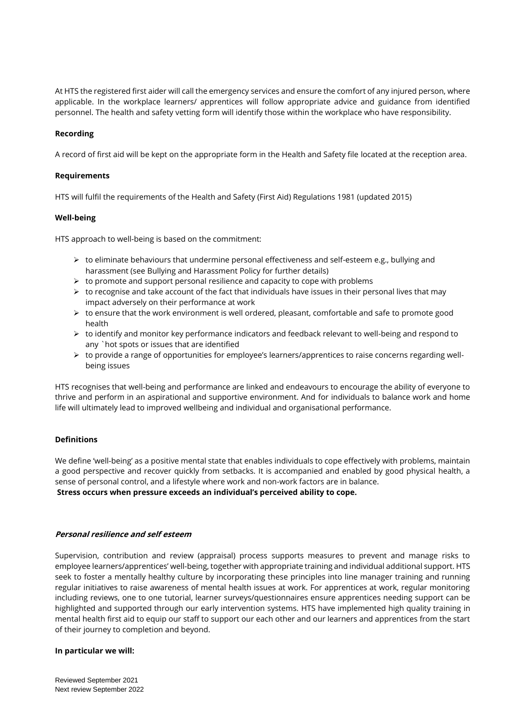At HTS the registered first aider will call the emergency services and ensure the comfort of any injured person, where applicable. In the workplace learners/ apprentices will follow appropriate advice and guidance from identified personnel. The health and safety vetting form will identify those within the workplace who have responsibility.

# **Recording**

A record of first aid will be kept on the appropriate form in the Health and Safety file located at the reception area.

## **Requirements**

HTS will fulfil the requirements of the Health and Safety (First Aid) Regulations 1981 (updated 2015)

# **Well-being**

HTS approach to well-being is based on the commitment:

- $\triangleright$  to eliminate behaviours that undermine personal effectiveness and self-esteem e.g., bullying and harassment (see Bullying and Harassment Policy for further details)
- ➢ to promote and support personal resilience and capacity to cope with problems
- $\triangleright$  to recognise and take account of the fact that individuals have issues in their personal lives that may impact adversely on their performance at work
- $\triangleright$  to ensure that the work environment is well ordered, pleasant, comfortable and safe to promote good health
- ➢ to identify and monitor key performance indicators and feedback relevant to well-being and respond to any `hot spots or issues that are identified
- ➢ to provide a range of opportunities for employee's learners/apprentices to raise concerns regarding wellbeing issues

HTS recognises that well-being and performance are linked and endeavours to encourage the ability of everyone to thrive and perform in an aspirational and supportive environment. And for individuals to balance work and home life will ultimately lead to improved wellbeing and individual and organisational performance.

# **Definitions**

We define 'well-being' as a positive mental state that enables individuals to cope effectively with problems, maintain a good perspective and recover quickly from setbacks. It is accompanied and enabled by good physical health, a sense of personal control, and a lifestyle where work and non-work factors are in balance. **Stress occurs when pressure exceeds an individual's perceived ability to cope.** 

## **Personal resilience and self esteem**

Supervision, contribution and review (appraisal) process supports measures to prevent and manage risks to employee learners/apprentices' well-being, together with appropriate training and individual additional support. HTS seek to foster a mentally healthy culture by incorporating these principles into line manager training and running regular initiatives to raise awareness of mental health issues at work. For apprentices at work, regular monitoring including reviews, one to one tutorial, learner surveys/questionnaires ensure apprentices needing support can be highlighted and supported through our early intervention systems. HTS have implemented high quality training in mental health first aid to equip our staff to support our each other and our learners and apprentices from the start of their journey to completion and beyond.

### **In particular we will:**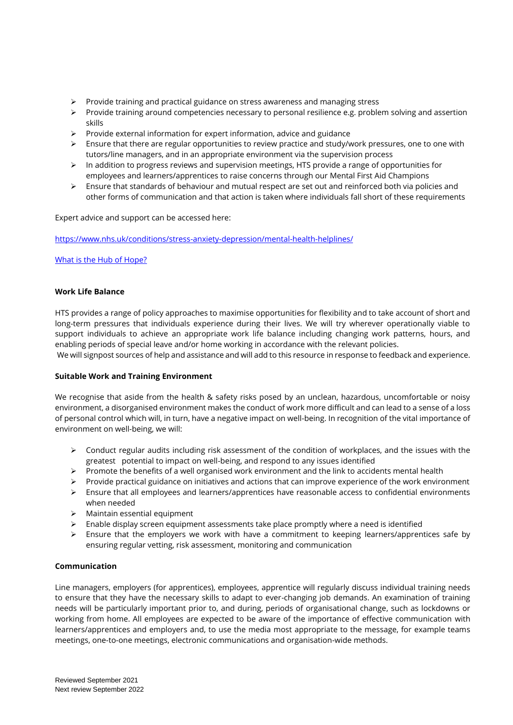- ➢ Provide training and practical guidance on stress awareness and managing stress
- $\triangleright$  Provide training around competencies necessary to personal resilience e.g. problem solving and assertion skills
- ➢ Provide external information for expert information, advice and guidance
- $\triangleright$  Ensure that there are regular opportunities to review practice and study/work pressures, one to one with tutors/line managers, and in an appropriate environment via the supervision process
- ➢ In addition to progress reviews and supervision meetings, HTS provide a range of opportunities for employees and learners/apprentices to raise concerns through our Mental First Aid Champions
- ➢ Ensure that standards of behaviour and mutual respect are set out and reinforced both via policies and other forms of communication and that action is taken where individuals fall short of these requirements

Expert advice and support can be accessed here:

<https://www.nhs.uk/conditions/stress-anxiety-depression/mental-health-helplines/>

# [What is the Hub of Hope?](https://hubofhope.co.uk/page/what-is-the-hub-of-hope)

## **Work Life Balance**

HTS provides a range of policy approaches to maximise opportunities for flexibility and to take account of short and long-term pressures that individuals experience during their lives. We will try wherever operationally viable to support individuals to achieve an appropriate work life balance including changing work patterns, hours, and enabling periods of special leave and/or home working in accordance with the relevant policies.

We will signpost sources of help and assistance and will add to this resource in response to feedback and experience.

### **Suitable Work and Training Environment**

We recognise that aside from the health & safety risks posed by an unclean, hazardous, uncomfortable or noisy environment, a disorganised environment makes the conduct of work more difficult and can lead to a sense of a loss of personal control which will, in turn, have a negative impact on well-being. In recognition of the vital importance of environment on well-being, we will:

- ➢ Conduct regular audits including risk assessment of the condition of workplaces, and the issues with the greatest potential to impact on well-being, and respond to any issues identified
- $\triangleright$  Promote the benefits of a well organised work environment and the link to accidents mental health
- ➢ Provide practical guidance on initiatives and actions that can improve experience of the work environment
- ➢ Ensure that all employees and learners/apprentices have reasonable access to confidential environments when needed
- ➢ Maintain essential equipment
- $\triangleright$  Enable display screen equipment assessments take place promptly where a need is identified
- ➢ Ensure that the employers we work with have a commitment to keeping learners/apprentices safe by ensuring regular vetting, risk assessment, monitoring and communication

## **Communication**

Line managers, employers (for apprentices), employees, apprentice will regularly discuss individual training needs to ensure that they have the necessary skills to adapt to ever-changing job demands. An examination of training needs will be particularly important prior to, and during, periods of organisational change, such as lockdowns or working from home. All employees are expected to be aware of the importance of effective communication with learners/apprentices and employers and, to use the media most appropriate to the message, for example teams meetings, one-to-one meetings, electronic communications and organisation-wide methods.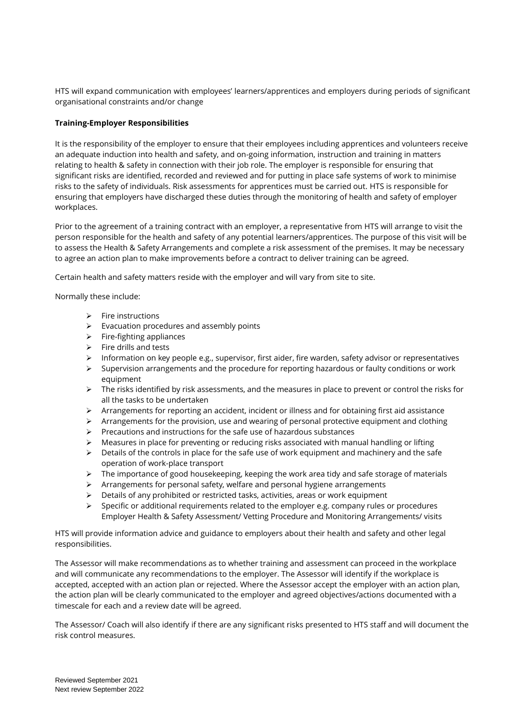HTS will expand communication with employees' learners/apprentices and employers during periods of significant organisational constraints and/or change

# **Training-Employer Responsibilities**

It is the responsibility of the employer to ensure that their employees including apprentices and volunteers receive an adequate induction into health and safety, and on-going information, instruction and training in matters relating to health & safety in connection with their job role. The employer is responsible for ensuring that significant risks are identified, recorded and reviewed and for putting in place safe systems of work to minimise risks to the safety of individuals. Risk assessments for apprentices must be carried out. HTS is responsible for ensuring that employers have discharged these duties through the monitoring of health and safety of employer workplaces.

Prior to the agreement of a training contract with an employer, a representative from HTS will arrange to visit the person responsible for the health and safety of any potential learners/apprentices. The purpose of this visit will be to assess the Health & Safety Arrangements and complete a risk assessment of the premises. It may be necessary to agree an action plan to make improvements before a contract to deliver training can be agreed.

Certain health and safety matters reside with the employer and will vary from site to site.

Normally these include:

- ➢ Fire instructions
- ➢ Evacuation procedures and assembly points
- $\triangleright$  Fire-fighting appliances
- $\triangleright$  Fire drills and tests
- $\triangleright$  Information on key people e.g., supervisor, first aider, fire warden, safety advisor or representatives
- ➢ Supervision arrangements and the procedure for reporting hazardous or faulty conditions or work equipment
- $\triangleright$  The risks identified by risk assessments, and the measures in place to prevent or control the risks for all the tasks to be undertaken
- $\triangleright$  Arrangements for reporting an accident, incident or illness and for obtaining first aid assistance
- $\triangleright$  Arrangements for the provision, use and wearing of personal protective equipment and clothing
- ➢ Precautions and instructions for the safe use of hazardous substances
- $\triangleright$  Measures in place for preventing or reducing risks associated with manual handling or lifting
- $\triangleright$  Details of the controls in place for the safe use of work equipment and machinery and the safe operation of work-place transport
- $\triangleright$  The importance of good housekeeping, keeping the work area tidy and safe storage of materials
- ➢ Arrangements for personal safety, welfare and personal hygiene arrangements
- $\triangleright$  Details of any prohibited or restricted tasks, activities, areas or work equipment
- $\triangleright$  Specific or additional requirements related to the employer e.g. company rules or procedures Employer Health & Safety Assessment/ Vetting Procedure and Monitoring Arrangements/ visits

HTS will provide information advice and guidance to employers about their health and safety and other legal responsibilities.

The Assessor will make recommendations as to whether training and assessment can proceed in the workplace and will communicate any recommendations to the employer. The Assessor will identify if the workplace is accepted, accepted with an action plan or rejected. Where the Assessor accept the employer with an action plan, the action plan will be clearly communicated to the employer and agreed objectives/actions documented with a timescale for each and a review date will be agreed.

The Assessor/ Coach will also identify if there are any significant risks presented to HTS staff and will document the risk control measures.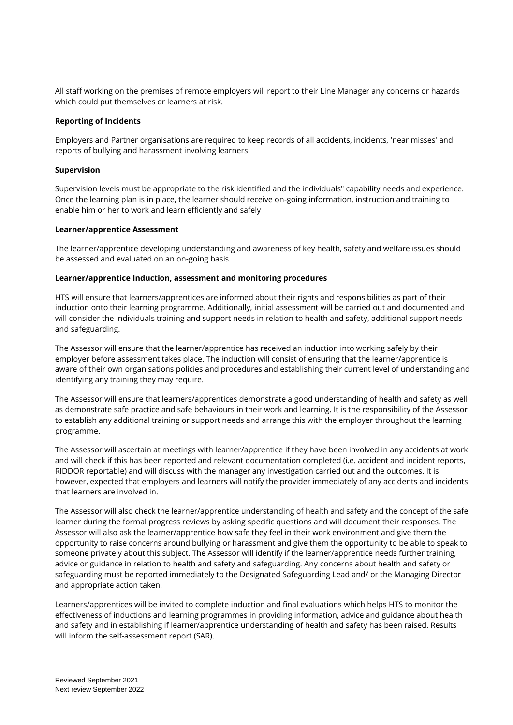All staff working on the premises of remote employers will report to their Line Manager any concerns or hazards which could put themselves or learners at risk.

## **Reporting of Incidents**

Employers and Partner organisations are required to keep records of all accidents, incidents, 'near misses' and reports of bullying and harassment involving learners.

### **Supervision**

Supervision levels must be appropriate to the risk identified and the individuals" capability needs and experience. Once the learning plan is in place, the learner should receive on-going information, instruction and training to enable him or her to work and learn efficiently and safely

#### **Learner/apprentice Assessment**

The learner/apprentice developing understanding and awareness of key health, safety and welfare issues should be assessed and evaluated on an on-going basis.

### **Learner/apprentice Induction, assessment and monitoring procedures**

HTS will ensure that learners/apprentices are informed about their rights and responsibilities as part of their induction onto their learning programme. Additionally, initial assessment will be carried out and documented and will consider the individuals training and support needs in relation to health and safety, additional support needs and safeguarding.

The Assessor will ensure that the learner/apprentice has received an induction into working safely by their employer before assessment takes place. The induction will consist of ensuring that the learner/apprentice is aware of their own organisations policies and procedures and establishing their current level of understanding and identifying any training they may require.

The Assessor will ensure that learners/apprentices demonstrate a good understanding of health and safety as well as demonstrate safe practice and safe behaviours in their work and learning. It is the responsibility of the Assessor to establish any additional training or support needs and arrange this with the employer throughout the learning programme.

The Assessor will ascertain at meetings with learner/apprentice if they have been involved in any accidents at work and will check if this has been reported and relevant documentation completed (i.e. accident and incident reports, RIDDOR reportable) and will discuss with the manager any investigation carried out and the outcomes. It is however, expected that employers and learners will notify the provider immediately of any accidents and incidents that learners are involved in.

The Assessor will also check the learner/apprentice understanding of health and safety and the concept of the safe learner during the formal progress reviews by asking specific questions and will document their responses. The Assessor will also ask the learner/apprentice how safe they feel in their work environment and give them the opportunity to raise concerns around bullying or harassment and give them the opportunity to be able to speak to someone privately about this subject. The Assessor will identify if the learner/apprentice needs further training, advice or guidance in relation to health and safety and safeguarding. Any concerns about health and safety or safeguarding must be reported immediately to the Designated Safeguarding Lead and/ or the Managing Director and appropriate action taken.

Learners/apprentices will be invited to complete induction and final evaluations which helps HTS to monitor the effectiveness of inductions and learning programmes in providing information, advice and guidance about health and safety and in establishing if learner/apprentice understanding of health and safety has been raised. Results will inform the self-assessment report (SAR).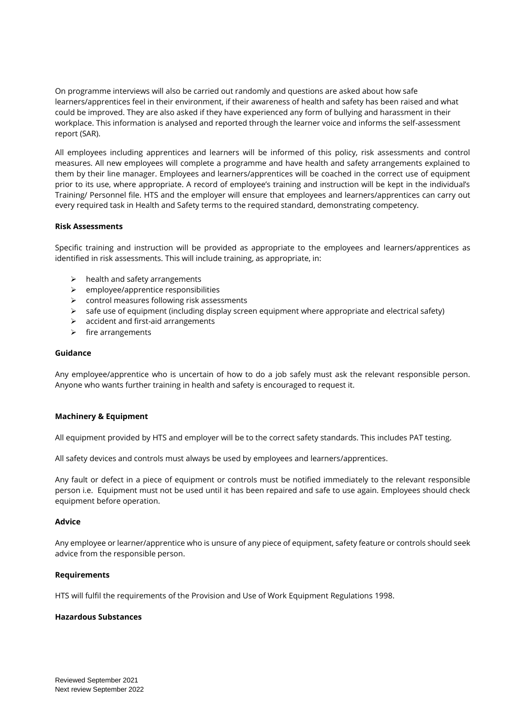On programme interviews will also be carried out randomly and questions are asked about how safe learners/apprentices feel in their environment, if their awareness of health and safety has been raised and what could be improved. They are also asked if they have experienced any form of bullying and harassment in their workplace. This information is analysed and reported through the learner voice and informs the self-assessment report (SAR).

All employees including apprentices and learners will be informed of this policy, risk assessments and control measures. All new employees will complete a programme and have health and safety arrangements explained to them by their line manager. Employees and learners/apprentices will be coached in the correct use of equipment prior to its use, where appropriate. A record of employee's training and instruction will be kept in the individual's Training/ Personnel file. HTS and the employer will ensure that employees and learners/apprentices can carry out every required task in Health and Safety terms to the required standard, demonstrating competency.

# **Risk Assessments**

Specific training and instruction will be provided as appropriate to the employees and learners/apprentices as identified in risk assessments. This will include training, as appropriate, in:

- $\triangleright$  health and safety arrangements
- ➢ employee/apprentice responsibilities
- ➢ control measures following risk assessments
- $\triangleright$  safe use of equipment (including display screen equipment where appropriate and electrical safety)
- ➢ accident and first-aid arrangements
- ➢ fire arrangements

### **Guidance**

Any employee/apprentice who is uncertain of how to do a job safely must ask the relevant responsible person. Anyone who wants further training in health and safety is encouraged to request it.

### **Machinery & Equipment**

All equipment provided by HTS and employer will be to the correct safety standards. This includes PAT testing.

All safety devices and controls must always be used by employees and learners/apprentices.

Any fault or defect in a piece of equipment or controls must be notified immediately to the relevant responsible person i.e. Equipment must not be used until it has been repaired and safe to use again. Employees should check equipment before operation.

### **Advice**

Any employee or learner/apprentice who is unsure of any piece of equipment, safety feature or controls should seek advice from the responsible person.

### **Requirements**

HTS will fulfil the requirements of the Provision and Use of Work Equipment Regulations 1998.

### **Hazardous Substances**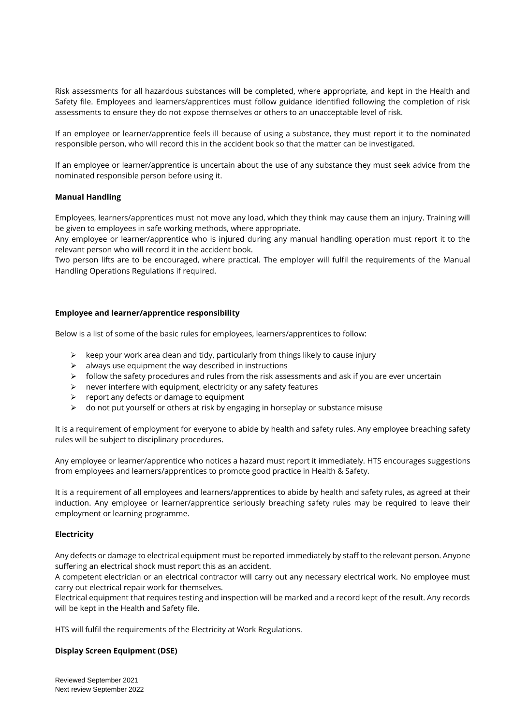Risk assessments for all hazardous substances will be completed, where appropriate, and kept in the Health and Safety file. Employees and learners/apprentices must follow guidance identified following the completion of risk assessments to ensure they do not expose themselves or others to an unacceptable level of risk.

If an employee or learner/apprentice feels ill because of using a substance, they must report it to the nominated responsible person, who will record this in the accident book so that the matter can be investigated.

If an employee or learner/apprentice is uncertain about the use of any substance they must seek advice from the nominated responsible person before using it.

### **Manual Handling**

Employees, learners/apprentices must not move any load, which they think may cause them an injury. Training will be given to employees in safe working methods, where appropriate.

Any employee or learner/apprentice who is injured during any manual handling operation must report it to the relevant person who will record it in the accident book.

Two person lifts are to be encouraged, where practical. The employer will fulfil the requirements of the Manual Handling Operations Regulations if required.

# **Employee and learner/apprentice responsibility**

Below is a list of some of the basic rules for employees, learners/apprentices to follow:

- $\triangleright$  keep your work area clean and tidy, particularly from things likely to cause injury
- $\triangleright$  always use equipment the way described in instructions
- ➢ follow the safety procedures and rules from the risk assessments and ask if you are ever uncertain
- $\triangleright$  never interfere with equipment, electricity or any safety features
- ➢ report any defects or damage to equipment
- $\triangleright$  do not put yourself or others at risk by engaging in horseplay or substance misuse

It is a requirement of employment for everyone to abide by health and safety rules. Any employee breaching safety rules will be subject to disciplinary procedures.

Any employee or learner/apprentice who notices a hazard must report it immediately. HTS encourages suggestions from employees and learners/apprentices to promote good practice in Health & Safety.

It is a requirement of all employees and learners/apprentices to abide by health and safety rules, as agreed at their induction. Any employee or learner/apprentice seriously breaching safety rules may be required to leave their employment or learning programme.

### **Electricity**

Any defects or damage to electrical equipment must be reported immediately by staff to the relevant person. Anyone suffering an electrical shock must report this as an accident.

A competent electrician or an electrical contractor will carry out any necessary electrical work. No employee must carry out electrical repair work for themselves.

Electrical equipment that requires testing and inspection will be marked and a record kept of the result. Any records will be kept in the Health and Safety file.

HTS will fulfil the requirements of the Electricity at Work Regulations.

### **Display Screen Equipment (DSE)**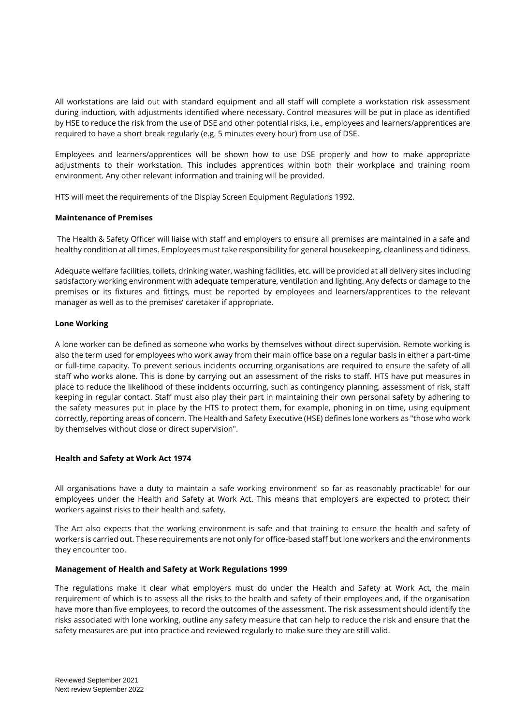All workstations are laid out with standard equipment and all staff will complete a workstation risk assessment during induction, with adjustments identified where necessary. Control measures will be put in place as identified by HSE to reduce the risk from the use of DSE and other potential risks, i.e., employees and learners/apprentices are required to have a short break regularly (e.g. 5 minutes every hour) from use of DSE.

Employees and learners/apprentices will be shown how to use DSE properly and how to make appropriate adjustments to their workstation. This includes apprentices within both their workplace and training room environment. Any other relevant information and training will be provided.

HTS will meet the requirements of the Display Screen Equipment Regulations 1992.

# **Maintenance of Premises**

The Health & Safety Officer will liaise with staff and employers to ensure all premises are maintained in a safe and healthy condition at all times. Employees must take responsibility for general housekeeping, cleanliness and tidiness.

Adequate welfare facilities, toilets, drinking water, washing facilities, etc. will be provided at all delivery sites including satisfactory working environment with adequate temperature, ventilation and lighting. Any defects or damage to the premises or its fixtures and fittings, must be reported by employees and learners/apprentices to the relevant manager as well as to the premises' caretaker if appropriate.

# **Lone Working**

A lone worker can be defined as someone who works by themselves without direct supervision. Remote working is also the term used for employees who work away from their main office base on a regular basis in either a part-time or full-time capacity. To prevent serious incidents occurring organisations are required to ensure the safety of all staff who works alone. This is done by carrying out an assessment of the risks to staff. HTS have put measures in place to reduce the likelihood of these incidents occurring, such as contingency planning, assessment of risk, staff keeping in regular contact. Staff must also play their part in maintaining their own personal safety by adhering to the safety measures put in place by the HTS to protect them, for example, phoning in on time, using equipment correctly, reporting areas of concern. The Health and Safety Executive (HSE) defines lone workers as "those who work by themselves without close or direct supervision".

### **Health and Safety at Work Act 1974**

All organisations have a duty to maintain a safe working environment' so far as reasonably practicable' for our employees under the Health and Safety at Work Act. This means that employers are expected to protect their workers against risks to their health and safety.

The Act also expects that the working environment is safe and that training to ensure the health and safety of workers is carried out. These requirements are not only for office-based staff but lone workers and the environments they encounter too.

### **Management of Health and Safety at Work Regulations 1999**

The regulations make it clear what employers must do under the Health and Safety at Work Act, the main requirement of which is to assess all the risks to the health and safety of their employees and, if the organisation have more than five employees, to record the outcomes of the assessment. The risk assessment should identify the risks associated with lone working, outline any safety measure that can help to reduce the risk and ensure that the safety measures are put into practice and reviewed regularly to make sure they are still valid.